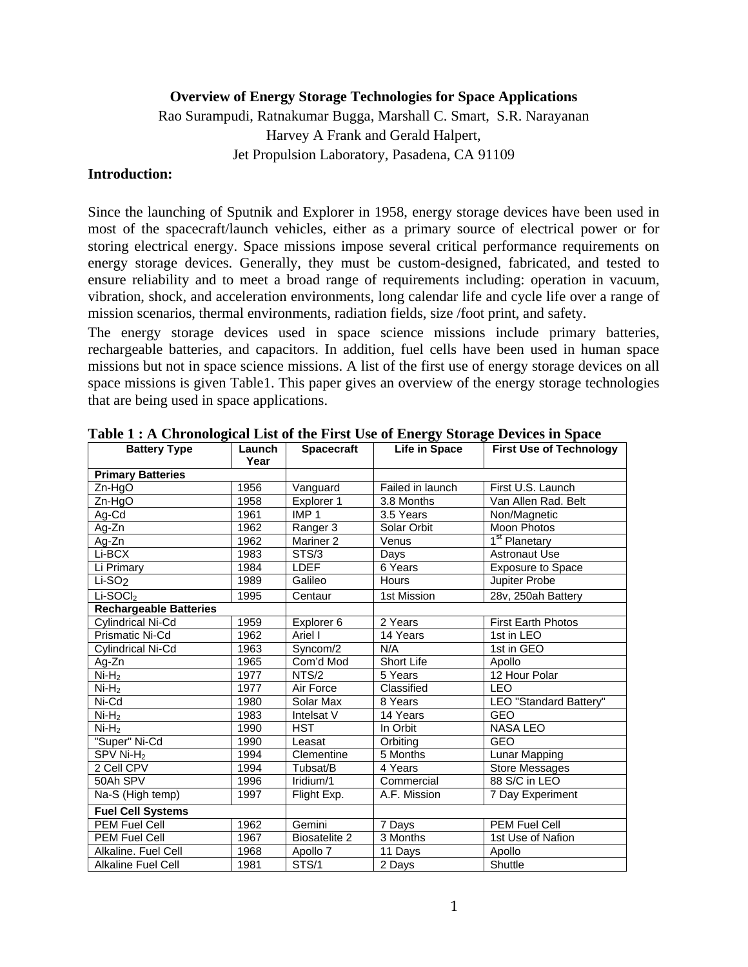#### **Overview of Energy Storage Technologies for Space Applications**

Rao Surampudi, Ratnakumar Bugga, Marshall C. Smart, S.R. Narayanan

Harvey A Frank and Gerald Halpert, Jet Propulsion Laboratory, Pasadena, CA 91109

#### **Introduction:**

Since the launching of Sputnik and Explorer in 1958, energy storage devices have been used in most of the spacecraft/launch vehicles, either as a primary source of electrical power or for storing electrical energy. Space missions impose several critical performance requirements on energy storage devices. Generally, they must be custom-designed, fabricated, and tested to ensure reliability and to meet a broad range of requirements including: operation in vacuum, vibration, shock, and acceleration environments, long calendar life and cycle life over a range of mission scenarios, thermal environments, radiation fields, size /foot print, and safety.

The energy storage devices used in space science missions include primary batteries, rechargeable batteries, and capacitors. In addition, fuel cells have been used in human space missions but not in space science missions. A list of the first use of energy storage devices on all space missions is given Table1. This paper gives an overview of the energy storage technologies that are being used in space applications.

| <b>Battery Type</b>           | Launch<br>Year | <b>Spacecraft</b>    | $\mathbf{\sim}$<br>Life in Space | <b>First Use of Technology</b> |  |
|-------------------------------|----------------|----------------------|----------------------------------|--------------------------------|--|
| <b>Primary Batteries</b>      |                |                      |                                  |                                |  |
| $Zn-HqO$                      | 1956           | Vanguard             | Failed in launch                 | First U.S. Launch              |  |
| $Zn-HgO$                      | 1958           | Explorer 1           | 3.8 Months                       | Van Allen Rad. Belt            |  |
| Ag-Cd                         | 1961           | IMP <sub>1</sub>     | 3.5 Years                        | Non/Magnetic                   |  |
| Ag-Zn                         | 1962           | Ranger 3             | Solar Orbit                      | <b>Moon Photos</b>             |  |
| Ag-Zn                         | 1962           | Mariner <sub>2</sub> | Venus                            | 1 <sup>st</sup> Planetary      |  |
| $Li-BCX$                      | 1983           | STS/3                | Days                             | <b>Astronaut Use</b>           |  |
| Li Primary                    | 1984           | <b>LDEF</b>          | 6 Years                          | <b>Exposure to Space</b>       |  |
| Li-SO <sub>2</sub>            | 1989           | Galileo              | Hours                            | Jupiter Probe                  |  |
| $Li-SOCl2$                    | 1995           | Centaur              | 1st Mission                      | 28v, 250ah Battery             |  |
| <b>Rechargeable Batteries</b> |                |                      |                                  |                                |  |
| Cylindrical Ni-Cd             | 1959           | Explorer 6           | 2 Years                          | <b>First Earth Photos</b>      |  |
| Prismatic Ni-Cd               | 1962           | Ariel I              | 14 Years                         | 1st in LEO                     |  |
| Cylindrical Ni-Cd             | 1963           | Syncom/2             | N/A                              | 1st in GEO                     |  |
| Ag-Zn                         | 1965           | Com'd Mod            | <b>Short Life</b>                | Apollo                         |  |
| $Ni-H2$                       | 1977           | NTS/2                | 5 Years                          | 12 Hour Polar                  |  |
| $Ni-H2$                       | 1977           | Air Force            | Classified                       | <b>LEO</b>                     |  |
| Ni-Cd                         | 1980           | Solar Max            | 8 Years                          | LEO "Standard Battery"         |  |
| $Ni-H2$                       | 1983           | Intelsat V           | 14 Years                         | <b>GEO</b>                     |  |
| $Ni-H2$                       | 1990           | <b>HST</b>           | In Orbit                         | <b>NASA LEO</b>                |  |
| "Super" Ni-Cd                 | 1990           | Leasat               | Orbiting                         | <b>GEO</b>                     |  |
| SPV Ni- $H_2$                 | 1994           | Clementine           | 5 Months                         | Lunar Mapping                  |  |
| 2 Cell CPV                    | 1994           | Tubsat/B             | 4 Years                          | <b>Store Messages</b>          |  |
| 50Ah SPV                      | 1996           | Iridium/1            | Commercial                       | 88 S/C in LEO                  |  |
| Na-S (High temp)              | 1997           | Flight Exp.          | A.F. Mission                     | 7 Day Experiment               |  |
| <b>Fuel Cell Systems</b>      |                |                      |                                  |                                |  |
| PEM Fuel Cell                 | 1962           | Gemini               | 7 Days                           | <b>PEM Fuel Cell</b>           |  |
| <b>PEM Fuel Cell</b>          | 1967           | Biosatelite 2        | 3 Months                         | 1st Use of Nafion              |  |
| Alkaline, Fuel Cell           | 1968           | Apollo 7             | 11 Days                          | Apollo                         |  |
| Alkaline Fuel Cell            | 1981           | STS/1                | 2 Days                           | Shuttle                        |  |

**Table 1 : A Chronological List of the First Use of Energy Storage Devices in Space**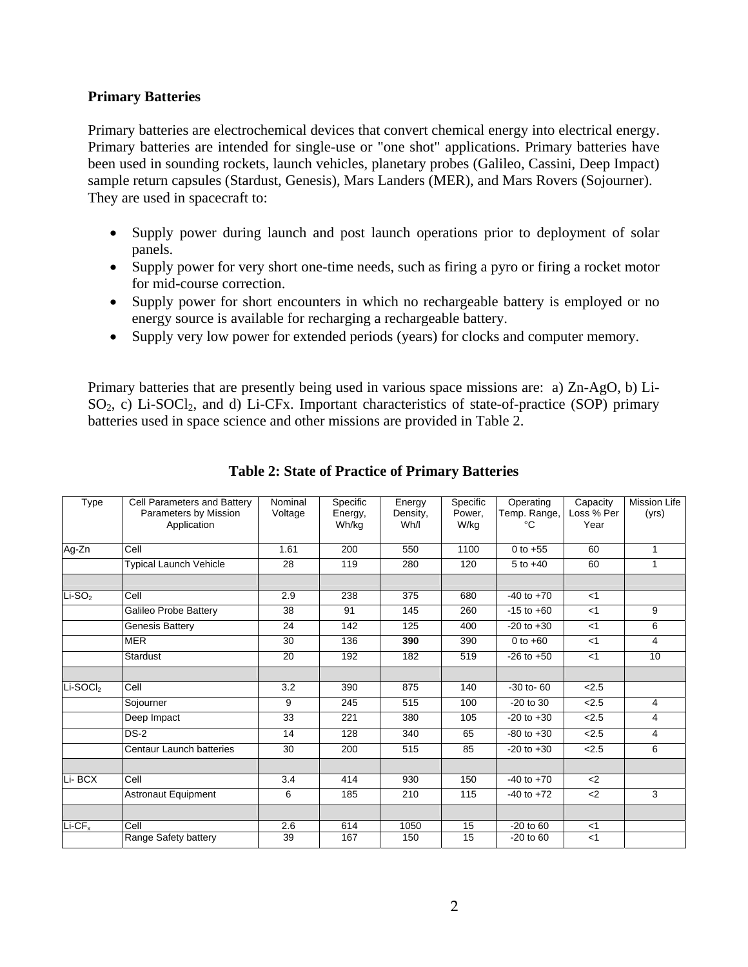#### **Primary Batteries**

Primary batteries are electrochemical devices that convert chemical energy into electrical energy. Primary batteries are intended for single-use or "one shot" applications. Primary batteries have been used in sounding rockets, launch vehicles, planetary probes (Galileo, Cassini, Deep Impact) sample return capsules (Stardust, Genesis), Mars Landers (MER), and Mars Rovers (Sojourner). They are used in spacecraft to:

- Supply power during launch and post launch operations prior to deployment of solar panels.
- Supply power for very short one-time needs, such as firing a pyro or firing a rocket motor for mid-course correction.
- Supply power for short encounters in which no rechargeable battery is employed or no energy source is available for recharging a rechargeable battery.
- Supply very low power for extended periods (years) for clocks and computer memory.

Primary batteries that are presently being used in various space missions are: a) Zn-AgO, b) Li- $SO_2$ , c) Li-SOCl<sub>2</sub>, and d) Li-CFx. Important characteristics of state-of-practice (SOP) primary batteries used in space science and other missions are provided in Table 2.

| Type       | Cell Parameters and Battery<br>Parameters by Mission<br>Application | Nominal<br>Voltage | Specific<br>Energy,<br>Wh/kg | Energy<br>Density,<br>Wh/I | Specific<br>Power.<br>W/kg | Operating<br>Temp. Range,<br>°C | Capacity<br>Loss % Per<br>Year | <b>Mission Life</b><br>(yrs) |
|------------|---------------------------------------------------------------------|--------------------|------------------------------|----------------------------|----------------------------|---------------------------------|--------------------------------|------------------------------|
| Ag-Zn      | Cell                                                                | 1.61               | 200                          | 550                        | 1100                       | 0 to $+55$                      | 60                             | $\mathbf{1}$                 |
|            | Typical Launch Vehicle                                              | 28                 | 119                          | 280                        | 120                        | $5 to +40$                      | 60                             | $\mathbf{1}$                 |
|            |                                                                     |                    |                              |                            |                            |                                 |                                |                              |
| $Li-SO2$   | Cell                                                                | 2.9                | 238                          | 375                        | 680                        | $-40$ to $+70$                  | $<$ 1                          |                              |
|            | Galileo Probe Battery                                               | 38                 | 91                           | 145                        | 260                        | $-15$ to $+60$                  | $<$ 1                          | 9                            |
|            | Genesis Battery                                                     | 24                 | 142                          | 125                        | 400                        | $-20$ to $+30$                  | < 1                            | 6                            |
|            | <b>MER</b>                                                          | 30                 | 136                          | 390                        | 390                        | 0 to $+60$                      | $<$ 1                          | 4                            |
|            | Stardust                                                            | 20                 | 192                          | 182                        | 519                        | $-26$ to $+50$                  | $<$ 1                          | 10                           |
|            |                                                                     |                    |                              |                            |                            |                                 |                                |                              |
| $Li-SOCl2$ | Cell                                                                | 3.2                | 390                          | 875                        | 140                        | $-30$ to $-60$                  | 2.5                            |                              |
|            | Sojourner                                                           | 9                  | 245                          | 515                        | 100                        | $-20$ to $30$                   | 2.5                            | 4                            |
|            | Deep Impact                                                         | 33                 | 221                          | 380                        | 105                        | $-20$ to $+30$                  | 2.5                            | 4                            |
|            | $DS-2$                                                              | 14                 | 128                          | 340                        | 65                         | $-80$ to $+30$                  | 2.5                            | 4                            |
|            | Centaur Launch batteries                                            | 30                 | 200                          | 515                        | 85                         | $-20$ to $+30$                  | 2.5                            | 6                            |
|            |                                                                     |                    |                              |                            |                            |                                 |                                |                              |
| Li-BCX     | Cell                                                                | 3.4                | 414                          | 930                        | 150                        | $-40$ to $+70$                  | $2$                            |                              |
|            | <b>Astronaut Equipment</b>                                          | 6                  | 185                          | 210                        | 115                        | $-40$ to $+72$                  | $<$ 2                          | 3                            |
|            |                                                                     |                    |                              |                            |                            |                                 |                                |                              |
| $Li-CFx$   | Cell                                                                | 2.6                | 614                          | 1050                       | 15                         | $-20$ to $60$                   | $<$ 1                          |                              |
|            | Range Safety battery                                                | 39                 | 167                          | 150                        | 15                         | $-20$ to $60$                   | $<$ 1                          |                              |

### **Table 2: State of Practice of Primary Batteries**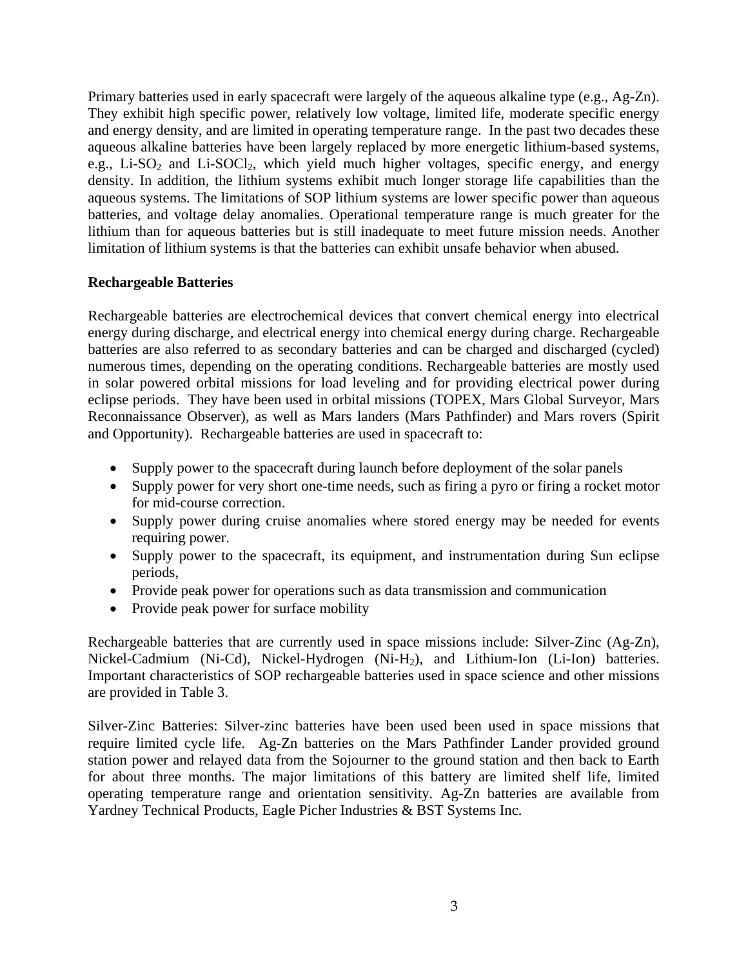Primary batteries used in early spacecraft were largely of the aqueous alkaline type (e.g., Ag-Zn). They exhibit high specific power, relatively low voltage, limited life, moderate specific energy and energy density, and are limited in operating temperature range. In the past two decades these aqueous alkaline batteries have been largely replaced by more energetic lithium-based systems, e.g., Li-SO<sub>2</sub> and Li-SOCl<sub>2</sub>, which yield much higher voltages, specific energy, and energy density. In addition, the lithium systems exhibit much longer storage life capabilities than the aqueous systems. The limitations of SOP lithium systems are lower specific power than aqueous batteries, and voltage delay anomalies. Operational temperature range is much greater for the lithium than for aqueous batteries but is still inadequate to meet future mission needs. Another limitation of lithium systems is that the batteries can exhibit unsafe behavior when abused.

### **Rechargeable Batteries**

Rechargeable batteries are electrochemical devices that convert chemical energy into electrical energy during discharge, and electrical energy into chemical energy during charge. Rechargeable batteries are also referred to as secondary batteries and can be charged and discharged (cycled) numerous times, depending on the operating conditions. Rechargeable batteries are mostly used in solar powered orbital missions for load leveling and for providing electrical power during eclipse periods. They have been used in orbital missions (TOPEX, Mars Global Surveyor, Mars Reconnaissance Observer), as well as Mars landers (Mars Pathfinder) and Mars rovers (Spirit and Opportunity). Rechargeable batteries are used in spacecraft to:

- Supply power to the spacecraft during launch before deployment of the solar panels
- Supply power for very short one-time needs, such as firing a pyro or firing a rocket motor for mid-course correction.
- Supply power during cruise anomalies where stored energy may be needed for events requiring power.
- Supply power to the spacecraft, its equipment, and instrumentation during Sun eclipse periods,
- Provide peak power for operations such as data transmission and communication
- Provide peak power for surface mobility

Rechargeable batteries that are currently used in space missions include: Silver-Zinc (Ag-Zn), Nickel-Cadmium (Ni-Cd), Nickel-Hydrogen (Ni-H2), and Lithium-Ion (Li-Ion) batteries. Important characteristics of SOP rechargeable batteries used in space science and other missions are provided in Table 3.

Silver-Zinc Batteries: Silver-zinc batteries have been used been used in space missions that require limited cycle life. Ag-Zn batteries on the Mars Pathfinder Lander provided ground station power and relayed data from the Sojourner to the ground station and then back to Earth for about three months. The major limitations of this battery are limited shelf life, limited operating temperature range and orientation sensitivity. Ag-Zn batteries are available from Yardney Technical Products, Eagle Picher Industries & BST Systems Inc.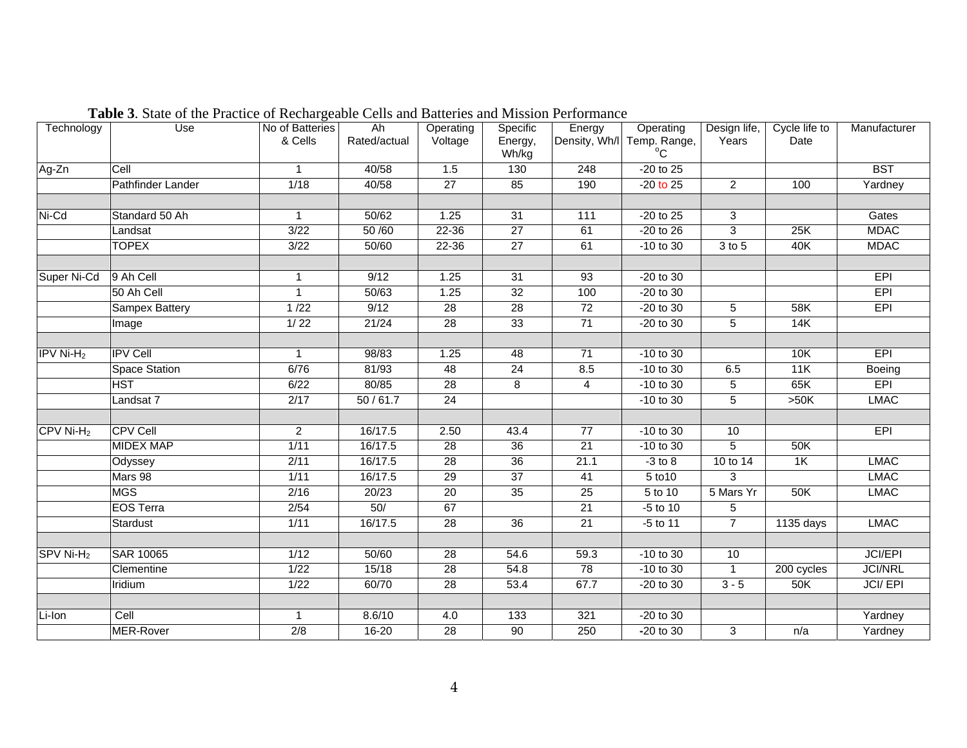| Technology              | Use                   | No of Batteries<br>& Cells | Ah<br>Rated/actual | Operating<br>Voltage | Specific<br>Energy,<br>Wh/kg | Energy          | Operating<br>Density, Wh/I Temp. Range, | Design life,<br>Years | Cycle life to<br>Date | Manufacturer   |
|-------------------------|-----------------------|----------------------------|--------------------|----------------------|------------------------------|-----------------|-----------------------------------------|-----------------------|-----------------------|----------------|
| Ag-Zn                   | Cell                  |                            | 40/58              | 1.5                  | 130                          | 248             | -20 to 25                               |                       |                       | <b>BST</b>     |
|                         | Pathfinder Lander     | 1/18                       | 40/58              | 27                   | 85                           | 190             | $-20$ to 25                             | $\overline{2}$        | 100                   | Yardney        |
|                         |                       |                            |                    |                      |                              |                 |                                         |                       |                       |                |
| Ni-Cd                   | Standard 50 Ah        | $\mathbf{1}$               | 50/62              | 1.25                 | 31                           | 111             | -20 to 25                               | 3                     |                       | Gates          |
|                         | Landsat               | 3/22                       | 50 /60             | 22-36                | $\overline{27}$              | 61              | $-20$ to $26$                           | $\overline{3}$        | 25K                   | <b>MDAC</b>    |
|                         | <b>TOPEX</b>          | 3/22                       | 50/60              | 22-36                | 27                           | 61              | -10 to 30                               | 3 to 5                | 40K                   | <b>MDAC</b>    |
|                         |                       |                            |                    |                      |                              |                 |                                         |                       |                       |                |
| Super Ni-Cd             | 9 Ah Cell             | $\mathbf{1}$               | 9/12               | 1.25                 | $\overline{31}$              | 93              | $-20$ to 30                             |                       |                       | EPI            |
|                         | 50 Ah Cell            |                            | 50/63              | 1.25                 | 32                           | 100             | -20 to 30                               |                       |                       | EPI            |
|                         | <b>Sampex Battery</b> | $1/22$                     | 9/12               | 28                   | $\overline{28}$              | 72              | $-20$ to 30                             | $\sqrt{5}$            | 58K                   | EPI            |
|                         | Image                 | 1/22                       | 21/24              | 28                   | 33                           | 71              | -20 to 30                               | 5                     | 14K                   |                |
|                         |                       |                            |                    |                      |                              |                 |                                         |                       |                       |                |
| $IPV$ Ni-H <sub>2</sub> | <b>IPV Cell</b>       | $\mathbf{1}$               | 98/83              | 1.25                 | 48                           | 71              | $-10$ to 30                             |                       | 10K                   | <b>EPI</b>     |
|                         | <b>Space Station</b>  | 6/76                       | 81/93              | 48                   | 24                           | 8.5             | -10 to 30                               | 6.5                   | 11K                   | Boeing         |
|                         | <b>HST</b>            | 6/22                       | 80/85              | 28                   | 8                            | 4               | $-10$ to 30                             | $\,$ 5 $\,$           | 65K                   | EPI            |
|                         | Landsat 7             | 2/17                       | 50/61.7            | $\overline{24}$      |                              |                 | -10 to 30                               | 5                     | >50K                  | <b>LMAC</b>    |
|                         |                       |                            |                    |                      |                              |                 |                                         |                       |                       |                |
| $CFV$ Ni-H <sub>2</sub> | <b>CPV Cell</b>       | $\overline{2}$             | 16/17.5            | 2.50                 | 43.4                         | $\overline{77}$ | -10 to 30                               | 10                    |                       | <b>EPI</b>     |
|                         | <b>MIDEX MAP</b>      | 1/11                       | 16/17.5            | 28                   | 36                           | $\overline{21}$ | -10 to 30                               | 5                     | 50K                   |                |
|                         | Odyssey               | 2/11                       | 16/17.5            | 28                   | 36                           | 21.1            | $-3$ to $8$                             | 10 to 14              | 1K                    | <b>LMAC</b>    |
|                         | Mars 98               | 1/11                       | 16/17.5            | $\overline{29}$      | $\overline{37}$              | 41              | 5 to 10                                 | 3                     |                       | <b>LMAC</b>    |
|                         | <b>MGS</b>            | 2/16                       | 20/23              | 20                   | 35                           | 25              | 5 to 10                                 | 5 Mars Yr             | 50K                   | <b>LMAC</b>    |
|                         | <b>EOS Terra</b>      | 2/54                       | 50/                | 67                   |                              | 21              | -5 to 10                                | 5                     |                       |                |
|                         | Stardust              | 1/11                       | 16/17.5            | 28                   | $\overline{36}$              | 21              | $-5$ to 11                              | $\overline{7}$        | 1135 days             | <b>LMAC</b>    |
|                         |                       |                            |                    |                      |                              |                 |                                         |                       |                       |                |
| SPV Ni-H <sub>2</sub>   | <b>SAR 10065</b>      | 1/12                       | 50/60              | 28                   | 54.6                         | 59.3            | -10 to 30                               | 10                    |                       | JCI/EPI        |
|                         | Clementine            | 1/22                       | 15/18              | 28                   | 54.8                         | 78              | -10 to 30                               | $\mathbf{1}$          | 200 cycles            | <b>JCI/NRL</b> |
|                         | Iridium               | 1/22                       | 60/70              | 28                   | 53.4                         | 67.7            | -20 to 30                               | $3 - 5$               | 50K                   | <b>JCI/EPI</b> |
|                         |                       |                            |                    |                      |                              |                 |                                         |                       |                       |                |
| Li-Ion                  | Cell                  |                            | 8.6/10             | 4.0                  | 133                          | 321             | -20 to 30                               |                       |                       | Yardney        |
|                         | <b>MER-Rover</b>      | $\overline{2/8}$           | $16 - 20$          | 28                   | 90                           | 250             | -20 to 30                               | 3                     | n/a                   | Yardney        |

**Table 3**. State of the Practice of Rechargeable Cells and Batteries and Mission Performance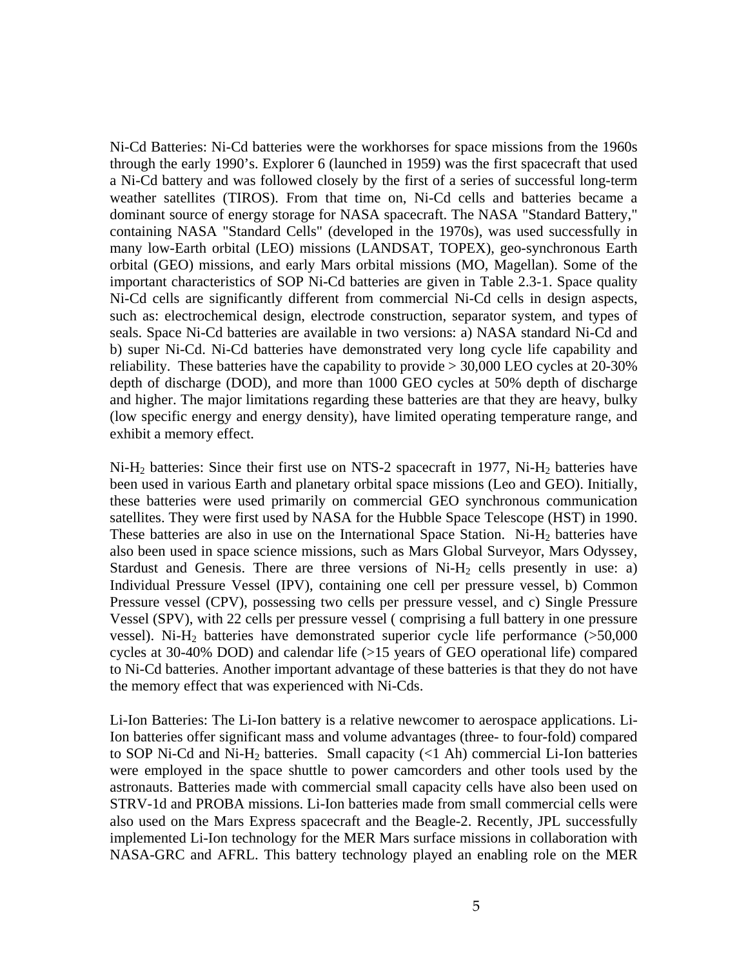Ni-Cd Batteries: Ni-Cd batteries were the workhorses for space missions from the 1960s through the early 1990's. Explorer 6 (launched in 1959) was the first spacecraft that used a Ni-Cd battery and was followed closely by the first of a series of successful long-term weather satellites (TIROS). From that time on, Ni-Cd cells and batteries became a dominant source of energy storage for NASA spacecraft. The NASA "Standard Battery," containing NASA "Standard Cells" (developed in the 1970s), was used successfully in many low-Earth orbital (LEO) missions (LANDSAT, TOPEX), geo-synchronous Earth orbital (GEO) missions, and early Mars orbital missions (MO, Magellan). Some of the important characteristics of SOP Ni-Cd batteries are given in Table 2.3-1. Space quality Ni-Cd cells are significantly different from commercial Ni-Cd cells in design aspects, such as: electrochemical design, electrode construction, separator system, and types of seals. Space Ni-Cd batteries are available in two versions: a) NASA standard Ni-Cd and b) super Ni-Cd. Ni-Cd batteries have demonstrated very long cycle life capability and reliability. These batteries have the capability to provide > 30,000 LEO cycles at 20-30% depth of discharge (DOD), and more than 1000 GEO cycles at 50% depth of discharge and higher. The major limitations regarding these batteries are that they are heavy, bulky (low specific energy and energy density), have limited operating temperature range, and exhibit a memory effect.

Ni-H<sub>2</sub> batteries: Since their first use on NTS-2 spacecraft in 1977, Ni-H<sub>2</sub> batteries have been used in various Earth and planetary orbital space missions (Leo and GEO). Initially, these batteries were used primarily on commercial GEO synchronous communication satellites. They were first used by NASA for the Hubble Space Telescope (HST) in 1990. These batteries are also in use on the International Space Station. Ni- $H_2$  batteries have also been used in space science missions, such as Mars Global Surveyor, Mars Odyssey, Stardust and Genesis. There are three versions of  $Ni-H<sub>2</sub>$  cells presently in use: a) Individual Pressure Vessel (IPV), containing one cell per pressure vessel, b) Common Pressure vessel (CPV), possessing two cells per pressure vessel, and c) Single Pressure Vessel (SPV), with 22 cells per pressure vessel ( comprising a full battery in one pressure vessel). Ni-H<sub>2</sub> batteries have demonstrated superior cycle life performance  $(>50,000)$ cycles at 30-40% DOD) and calendar life (>15 years of GEO operational life) compared to Ni-Cd batteries. Another important advantage of these batteries is that they do not have the memory effect that was experienced with Ni-Cds.

Li-Ion Batteries: The Li-Ion battery is a relative newcomer to aerospace applications. Li-Ion batteries offer significant mass and volume advantages (three- to four-fold) compared to SOP Ni-Cd and Ni-H<sub>2</sub> batteries. Small capacity  $(<1$  Ah) commercial Li-Ion batteries were employed in the space shuttle to power camcorders and other tools used by the astronauts. Batteries made with commercial small capacity cells have also been used on STRV-1d and PROBA missions. Li-Ion batteries made from small commercial cells were also used on the Mars Express spacecraft and the Beagle-2. Recently, JPL successfully implemented Li-Ion technology for the MER Mars surface missions in collaboration with NASA-GRC and AFRL. This battery technology played an enabling role on the MER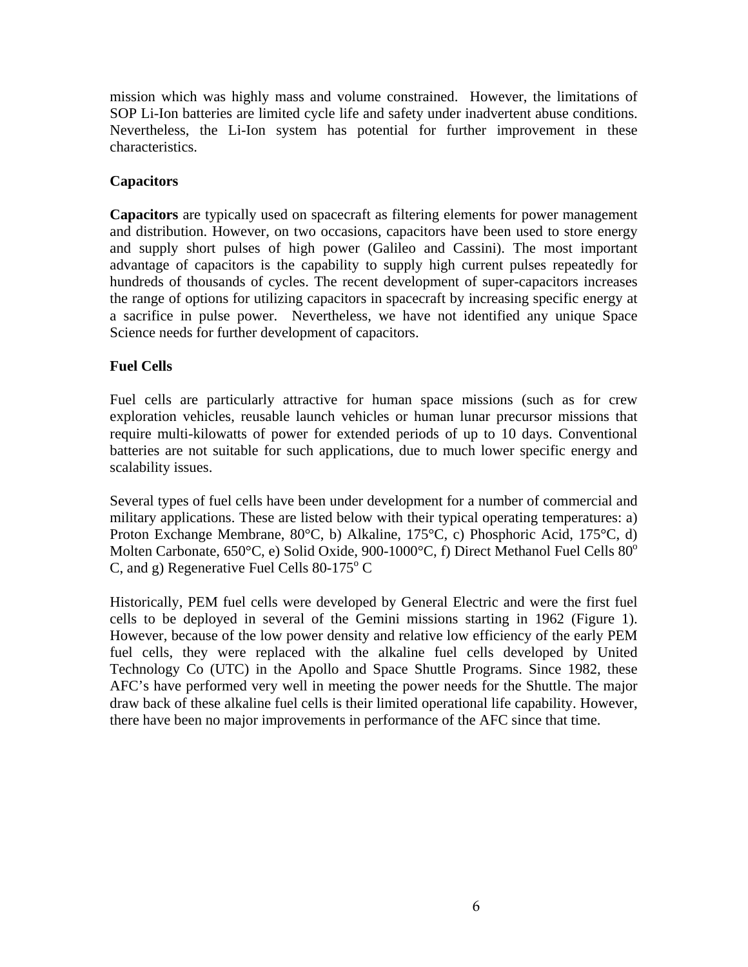mission which was highly mass and volume constrained. However, the limitations of SOP Li-Ion batteries are limited cycle life and safety under inadvertent abuse conditions. Nevertheless, the Li-Ion system has potential for further improvement in these characteristics.

# **Capacitors**

**Capacitors** are typically used on spacecraft as filtering elements for power management and distribution. However, on two occasions, capacitors have been used to store energy and supply short pulses of high power (Galileo and Cassini). The most important advantage of capacitors is the capability to supply high current pulses repeatedly for hundreds of thousands of cycles. The recent development of super-capacitors increases the range of options for utilizing capacitors in spacecraft by increasing specific energy at a sacrifice in pulse power. Nevertheless, we have not identified any unique Space Science needs for further development of capacitors.

### **Fuel Cells**

Fuel cells are particularly attractive for human space missions (such as for crew exploration vehicles, reusable launch vehicles or human lunar precursor missions that require multi-kilowatts of power for extended periods of up to 10 days. Conventional batteries are not suitable for such applications, due to much lower specific energy and scalability issues.

Several types of fuel cells have been under development for a number of commercial and military applications. These are listed below with their typical operating temperatures: a) Proton Exchange Membrane, 80°C, b) Alkaline, 175°C, c) Phosphoric Acid, 175°C, d) Molten Carbonate,  $650^{\circ}$ C, e) Solid Oxide, 900-1000 $^{\circ}$ C, f) Direct Methanol Fuel Cells  $80^{\circ}$ C, and g) Regenerative Fuel Cells  $80-175^{\circ}$  C

Historically, PEM fuel cells were developed by General Electric and were the first fuel cells to be deployed in several of the Gemini missions starting in 1962 (Figure 1). However, because of the low power density and relative low efficiency of the early PEM fuel cells, they were replaced with the alkaline fuel cells developed by United Technology Co (UTC) in the Apollo and Space Shuttle Programs. Since 1982, these AFC's have performed very well in meeting the power needs for the Shuttle. The major draw back of these alkaline fuel cells is their limited operational life capability. However, there have been no major improvements in performance of the AFC since that time.